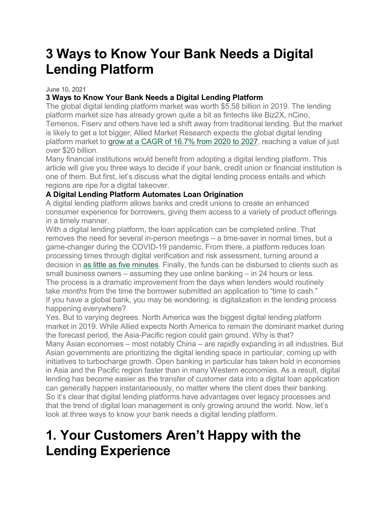# **3 Ways to Know Your Bank Needs a Digital Lending Platform**

June 10, 2021

### **3 Ways to Know Your Bank Needs a Digital Lending Platform**

The global digital lending platform market was worth \$5.58 billion in 2019. The lending platform market size has already grown quite a bit as fintechs like Biz2X, nCino, Temenos, Fiserv and others have led a shift away from traditional lending. But the market is likely to get a lot bigger; Allied Market Research expects the global digital lending platform market to grow at a [CAGR](https://www.alliedmarketresearch.com/digital-lending-platform-market) of 16.7% from 2020 to 2027, reaching a value of just over \$20 billion.

Many financial institutions would benefit from adopting a digital lending platform. This article will give you three ways to decide if your bank, credit union or financial institution is one of them. But first, let's discuss what the digital lending process entails and which regions are ripe for a digital takeover.

#### **A Digital Lending Platform Automates Loan Origination**

A digital lending platform allows banks and credit unions to create an enhanced consumer experience for borrowers, giving them access to a variety of product offerings in a timely manner.

With a digital lending platform, the loan application can be completed online. That removes the need for several in-person meetings – a time-saver in normal times, but a game-changer during the COVID-19 pandemic. From there, a platform reduces loan processing times through digital verification and risk assessment, turning around a decision in as little as five [minutes.](https://www.mckinsey.com/business-functions/risk/our-insights/the-lending-revolution-how-digital-credit-is-changing-banks-from-the-inside) Finally, the funds can be disbursed to clients such as small business owners – assuming they use online banking – in 24 hours or less. The process is a dramatic improvement from the days when lenders would routinely take *months* from the time the borrower submitted an application to "time to cash." If you have a global bank, you may be wondering: is digitalization in the lending process happening everywhere?

Yes. But to varying degrees. North America was the biggest digital lending platform market in 2019. While Allied expects North America to remain the dominant market during the forecast period, the Asia-Pacific region could gain ground. Why is that?

Many Asian economies – most notably China – are rapidly expanding in all industries. But Asian governments are prioritizing the digital lending space in particular, coming up with initiatives to turbocharge growth. Open banking in particular has taken hold in economies in Asia and the Pacific region faster than in many Western economies. As a result, digital lending has become easier as the transfer of customer data into a digital loan application can generally happen instantaneously, no matter where the client does their banking. So it's clear that digital lending platforms have advantages over legacy processes and that the trend of digital loan management is only growing around the world. Now, let's look at three ways to know your bank needs a digital lending platform.

### **1. Your Customers Aren't Happy with the Lending Experience**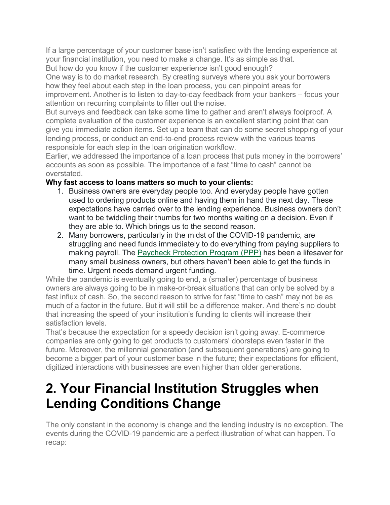If a large percentage of your customer base isn't satisfied with the lending experience at your financial institution, you need to make a change. It's as simple as that.

But how do you know if the customer experience isn't good enough?

One way is to do market research. By creating surveys where you ask your borrowers how they feel about each step in the loan process, you can pinpoint areas for improvement. Another is to listen to day-to-day feedback from your bankers – focus your attention on recurring complaints to filter out the noise.

But surveys and feedback can take some time to gather and aren't always foolproof. A complete evaluation of the customer experience is an excellent starting point that can give you immediate action items. Set up a team that can do some secret shopping of your lending process, or conduct an end-to-end process review with the various teams responsible for each step in the loan origination workflow.

Earlier, we addressed the importance of a loan process that puts money in the borrowers' accounts as soon as possible. The importance of a fast "time to cash" cannot be overstated.

### **Why fast access to loans matters so much to your clients:**

- 1. Business owners are everyday people too. And everyday people have gotten used to ordering products online and having them in hand the next day. These expectations have carried over to the lending experience. Business owners don't want to be twiddling their thumbs for two months waiting on a decision. Even if they are able to. Which brings us to the second reason.
- 2. Many borrowers, particularly in the midst of the COVID-19 pandemic, are struggling and need funds immediately to do everything from paying suppliers to making payroll. The Paycheck [Protection](https://www.biz2x.com/ppp-lending-in-2021-how-banks-can-make-the-most-of-a-second-shot-to-serve-small-businesses/) Program (PPP) has been a lifesaver for many small business owners, but others haven't been able to get the funds in time. Urgent needs demand urgent funding.

While the pandemic is eventually going to end, a (smaller) percentage of business owners are always going to be in make-or-break situations that can only be solved by a fast influx of cash. So, the second reason to strive for fast "time to cash" may not be as much of a factor in the future. But it will still be a difference maker. And there's no doubt that increasing the speed of your institution's funding to clients will increase their satisfaction levels.

That's because the expectation for a speedy decision isn't going away. E-commerce companies are only going to get products to customers' doorsteps even faster in the future. Moreover, the millennial generation (and subsequent generations) are going to become a bigger part of your customer base in the future; their expectations for efficient, digitized interactions with businesses are even higher than older generations.

# **2. Your Financial Institution Struggles when Lending Conditions Change**

The only constant in the economy is change and the lending industry is no exception. The events during the COVID-19 pandemic are a perfect illustration of what can happen. To recap: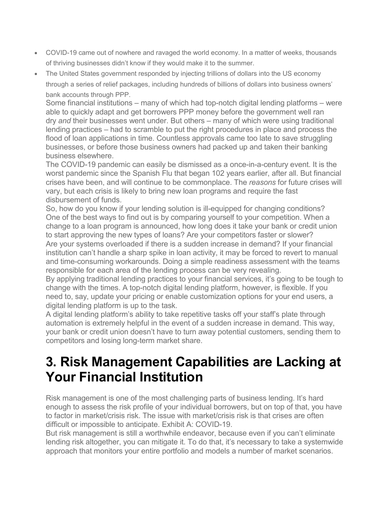- COVID-19 came out of nowhere and ravaged the world economy. In a matter of weeks, thousands of thriving businesses didn't know if they would make it to the summer.
- The United States government responded by injecting trillions of dollars into the US economy through a series of relief packages, including hundreds of billions of dollars into business owners' bank accounts through PPP.

Some financial institutions – many of which had top-notch digital lending platforms – were able to quickly adapt and get borrowers PPP money before the government well ran dry *and* their businesses went under. But others – many of which were using traditional lending practices – had to scramble to put the right procedures in place and process the flood of loan applications in time. Countless approvals came too late to save struggling businesses, or before those business owners had packed up and taken their banking business elsewhere.

The COVID-19 pandemic can easily be dismissed as a once-in-a-century event. It is the worst pandemic since the Spanish Flu that began 102 years earlier, after all. But financial crises have been, and will continue to be commonplace. The *reasons* for future crises will vary, but each crisis is likely to bring new loan programs and require the fast disbursement of funds.

So, how do you know if your lending solution is ill-equipped for changing conditions? One of the best ways to find out is by comparing yourself to your competition. When a change to a loan program is announced, how long does it take your bank or credit union to start approving the new types of loans? Are your competitors faster or slower? Are your systems overloaded if there is a sudden increase in demand? If your financial institution can't handle a sharp spike in loan activity, it may be forced to revert to manual and time-consuming workarounds. Doing a simple readiness assessment with the teams responsible for each area of the lending process can be very revealing.

By applying traditional lending practices to your financial services, it's going to be tough to change with the times. A top-notch digital lending platform, however, is flexible. If you need to, say, update your pricing or enable customization options for your end users, a digital lending platform is up to the task.

A digital lending platform's ability to take repetitive tasks off your staff's plate through automation is extremely helpful in the event of a sudden increase in demand. This way, your bank or credit union doesn't have to turn away potential customers, sending them to competitors and losing long-term market share.

### **3. Risk Management Capabilities are Lacking at Your Financial Institution**

Risk management is one of the most challenging parts of business lending. It's hard enough to assess the risk profile of your individual borrowers, but on top of that, you have to factor in market/crisis risk. The issue with market/crisis risk is that crises are often difficult or impossible to anticipate. Exhibit A: COVID-19.

But risk management is still a worthwhile endeavor, because even if you can't eliminate lending risk altogether, you can mitigate it. To do that, it's necessary to take a systemwide approach that monitors your entire portfolio and models a number of market scenarios.